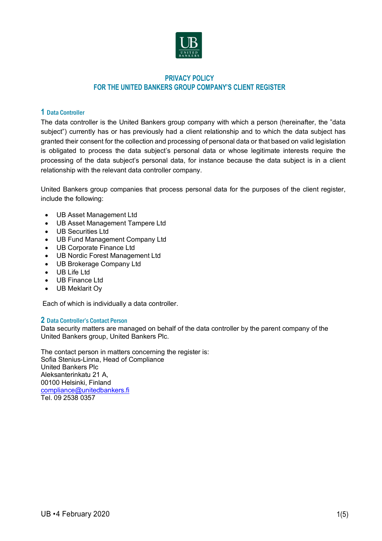

# **PRIVACY POLICY FOR THE UNITED BANKERS GROUP COMPANY'S CLIENT REGISTER**

# **1** Data Controller

The data controller is the United Bankers group company with which a person (hereinafter, the "data subject") currently has or has previously had a client relationship and to which the data subject has granted their consent for the collection and processing of personal data or that based on valid legislation is obligated to process the data subject's personal data or whose legitimate interests require the processing of the data subject's personal data, for instance because the data subject is in a client relationship with the relevant data controller company.

United Bankers group companies that process personal data for the purposes of the client register, include the following:

- UB Asset Management Ltd
- UB Asset Management Tampere Ltd
- UB Securities Ltd
- UB Fund Management Company Ltd
- UB Corporate Finance Ltd
- UB Nordic Forest Management Ltd
- UB Brokerage Company Ltd
- UB Life Ltd
- UB Finance Ltd
- UB Meklarit Oy

Each of which is individually a data controller.

# **2** Data Controller's Contact Person

Data security matters are managed on behalf of the data controller by the parent company of the United Bankers group, United Bankers Plc.

The contact person in matters concerning the register is: Sofia Stenius-Linna, Head of Compliance United Bankers Plc Aleksanterinkatu 21 A, 00100 Helsinki, Finland compliance@unitedbankers.fi Tel. 09 2538 0357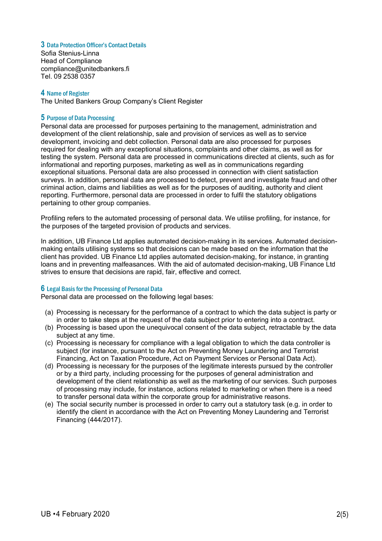## **3** Data Protection Officer's Contact Details

Sofia Stenius-Linna Head of Compliance compliance@unitedbankers.fi Tel. 09 2538 0357

# **4** Name of Register

The United Bankers Group Company's Client Register

## **5** Purpose of Data Processing

Personal data are processed for purposes pertaining to the management, administration and development of the client relationship, sale and provision of services as well as to service development, invoicing and debt collection. Personal data are also processed for purposes required for dealing with any exceptional situations, complaints and other claims, as well as for testing the system. Personal data are processed in communications directed at clients, such as for informational and reporting purposes, marketing as well as in communications regarding exceptional situations. Personal data are also processed in connection with client satisfaction surveys. In addition, personal data are processed to detect, prevent and investigate fraud and other criminal action, claims and liabilities as well as for the purposes of auditing, authority and client reporting. Furthermore, personal data are processed in order to fulfil the statutory obligations pertaining to other group companies.

Profiling refers to the automated processing of personal data. We utilise profiling, for instance, for the purposes of the targeted provision of products and services.

In addition, UB Finance Ltd applies automated decision-making in its services. Automated decisionmaking entails utilising systems so that decisions can be made based on the information that the client has provided. UB Finance Ltd applies automated decision-making, for instance, in granting loans and in preventing malfeasances. With the aid of automated decision-making, UB Finance Ltd strives to ensure that decisions are rapid, fair, effective and correct.

## **6** Legal Basis for the Processing of Personal Data

Personal data are processed on the following legal bases:

- (a) Processing is necessary for the performance of a contract to which the data subject is party or in order to take steps at the request of the data subject prior to entering into a contract.
- (b) Processing is based upon the unequivocal consent of the data subject, retractable by the data subject at any time.
- (c) Processing is necessary for compliance with a legal obligation to which the data controller is subject (for instance, pursuant to the Act on Preventing Money Laundering and Terrorist Financing, Act on Taxation Procedure, Act on Payment Services or Personal Data Act).
- (d) Processing is necessary for the purposes of the legitimate interests pursued by the controller or by a third party, including processing for the purposes of general administration and development of the client relationship as well as the marketing of our services. Such purposes of processing may include, for instance, actions related to marketing or when there is a need to transfer personal data within the corporate group for administrative reasons.
- (e) The social security number is processed in order to carry out a statutory task (e.g. in order to identify the client in accordance with the Act on Preventing Money Laundering and Terrorist Financing (444/2017).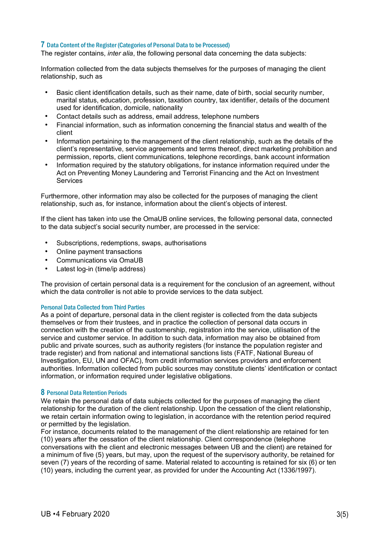### **7** Data Content of the Register (Categories of Personal Data to be Processed)

The register contains, *inter alia*, the following personal data concerning the data subjects:

Information collected from the data subjects themselves for the purposes of managing the client relationship, such as

- Basic client identification details, such as their name, date of birth, social security number, marital status, education, profession, taxation country, tax identifier, details of the document used for identification, domicile, nationality
- Contact details such as address, email address, telephone numbers
- Financial information, such as information concerning the financial status and wealth of the client
- Information pertaining to the management of the client relationship, such as the details of the client's representative, service agreements and terms thereof, direct marketing prohibition and permission, reports, client communications, telephone recordings, bank account information
- Information required by the statutory obligations, for instance information required under the Act on Preventing Money Laundering and Terrorist Financing and the Act on Investment **Services**

Furthermore, other information may also be collected for the purposes of managing the client relationship, such as, for instance, information about the client's objects of interest.

If the client has taken into use the OmaUB online services, the following personal data, connected to the data subject's social security number, are processed in the service:

- Subscriptions, redemptions, swaps, authorisations
- Online payment transactions
- Communications via OmaUB
- Latest log-in (time/ip address)

The provision of certain personal data is a requirement for the conclusion of an agreement, without which the data controller is not able to provide services to the data subject.

#### Personal Data Collected from Third Parties

As a point of departure, personal data in the client register is collected from the data subjects themselves or from their trustees, and in practice the collection of personal data occurs in connection with the creation of the customership, registration into the service, utilisation of the service and customer service. In addition to such data, information may also be obtained from public and private sources, such as authority registers (for instance the population register and trade register) and from national and international sanctions lists (FATF, National Bureau of Investigation, EU, UN and OFAC), from credit information services providers and enforcement authorities. Information collected from public sources may constitute clients' identification or contact information, or information required under legislative obligations.

#### **8** Personal Data Retention Periods

We retain the personal data of data subiects collected for the purposes of managing the client relationship for the duration of the client relationship. Upon the cessation of the client relationship, we retain certain information owing to legislation, in accordance with the retention period required or permitted by the legislation.

For instance, documents related to the management of the client relationship are retained for ten (10) years after the cessation of the client relationship. Client correspondence (telephone conversations with the client and electronic messages between UB and the client) are retained for a minimum of five (5) years, but may, upon the request of the supervisory authority, be retained for seven (7) years of the recording of same. Material related to accounting is retained for six (6) or ten (10) years, including the current year, as provided for under the Accounting Act (1336/1997).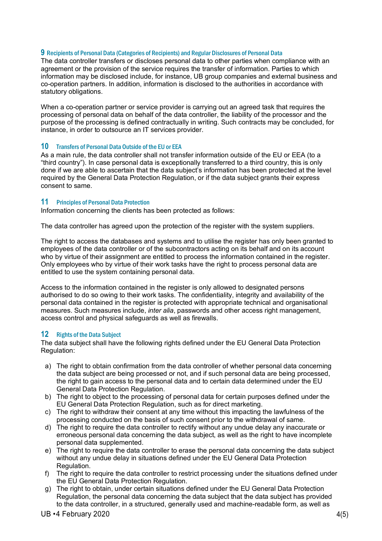#### **9** Recipients of Personal Data (Categories of Recipients) and Regular Disclosures of Personal Data

The data controller transfers or discloses personal data to other parties when compliance with an agreement or the provision of the service requires the transfer of information. Parties to which information may be disclosed include, for instance, UB group companies and external business and co-operation partners. In addition, information is disclosed to the authorities in accordance with statutory obligations.

When a co-operation partner or service provider is carrying out an agreed task that requires the processing of personal data on behalf of the data controller, the liability of the processor and the purpose of the processing is defined contractually in writing. Such contracts may be concluded, for instance, in order to outsource an IT services provider.

#### **10** Transfers of Personal Data Outside of the EU or EEA

As a main rule, the data controller shall not transfer information outside of the EU or EEA (to a "third country"). In case personal data is exceptionally transferred to a third country, this is only done if we are able to ascertain that the data subject's information has been protected at the level required by the General Data Protection Regulation, or if the data subject grants their express consent to same.

#### **11** Principles of Personal Data Protection

Information concerning the clients has been protected as follows:

The data controller has agreed upon the protection of the register with the system suppliers.

The right to access the databases and systems and to utilise the register has only been granted to employees of the data controller or of the subcontractors acting on its behalf and on its account who by virtue of their assignment are entitled to process the information contained in the register. Only employees who by virtue of their work tasks have the right to process personal data are entitled to use the system containing personal data.

Access to the information contained in the register is only allowed to designated persons authorised to do so owing to their work tasks. The confidentiality, integrity and availability of the personal data contained in the register is protected with appropriate technical and organisational measures. Such measures include, *inter alia*, passwords and other access right management, access control and physical safeguards as well as firewalls.

## **12** Rights of the Data Subject

The data subject shall have the following rights defined under the EU General Data Protection Regulation:

- a) The right to obtain confirmation from the data controller of whether personal data concerning the data subject are being processed or not, and if such personal data are being processed, the right to gain access to the personal data and to certain data determined under the EU General Data Protection Regulation.
- b) The right to object to the processing of personal data for certain purposes defined under the EU General Data Protection Regulation, such as for direct marketing.
- c) The right to withdraw their consent at any time without this impacting the lawfulness of the processing conducted on the basis of such consent prior to the withdrawal of same.
- d) The right to require the data controller to rectify without any undue delay any inaccurate or erroneous personal data concerning the data subject, as well as the right to have incomplete personal data supplemented.
- e) The right to require the data controller to erase the personal data concerning the data subject without any undue delay in situations defined under the EU General Data Protection Regulation.
- f) The right to require the data controller to restrict processing under the situations defined under the EU General Data Protection Regulation.
- g) The right to obtain, under certain situations defined under the EU General Data Protection Regulation, the personal data concerning the data subject that the data subject has provided to the data controller, in a structured, generally used and machine-readable form, as well as